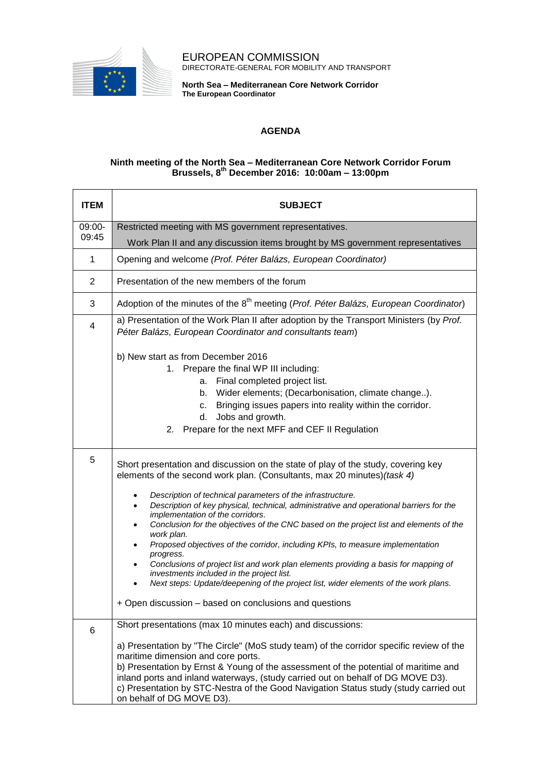

EUROPEAN COMMISSION DIRECTORATE-GENERAL FOR MOBILITY AND TRANSPORT

**North Sea – Mediterranean Core Network Corridor The European Coordinator**

## **AGENDA**

## **Ninth meeting of the North Sea – Mediterranean Core Network Corridor Forum Brussels, 8 th December 2016: 10:00am – 13:00pm**

| <b>ITEM</b>     | <b>SUBJECT</b>                                                                                                                                                                                                                                                                                                                                                                                                                                                                                                                                                                                                                                                                                                                                                                                                                                         |
|-----------------|--------------------------------------------------------------------------------------------------------------------------------------------------------------------------------------------------------------------------------------------------------------------------------------------------------------------------------------------------------------------------------------------------------------------------------------------------------------------------------------------------------------------------------------------------------------------------------------------------------------------------------------------------------------------------------------------------------------------------------------------------------------------------------------------------------------------------------------------------------|
| 09:00-<br>09:45 | Restricted meeting with MS government representatives.                                                                                                                                                                                                                                                                                                                                                                                                                                                                                                                                                                                                                                                                                                                                                                                                 |
|                 | Work Plan II and any discussion items brought by MS government representatives                                                                                                                                                                                                                                                                                                                                                                                                                                                                                                                                                                                                                                                                                                                                                                         |
| 1               | Opening and welcome (Prof. Péter Balázs, European Coordinator)                                                                                                                                                                                                                                                                                                                                                                                                                                                                                                                                                                                                                                                                                                                                                                                         |
| 2               | Presentation of the new members of the forum                                                                                                                                                                                                                                                                                                                                                                                                                                                                                                                                                                                                                                                                                                                                                                                                           |
| 3               | Adoption of the minutes of the 8 <sup>th</sup> meeting ( <i>Prof. Péter Balázs, European Coordinator</i> )                                                                                                                                                                                                                                                                                                                                                                                                                                                                                                                                                                                                                                                                                                                                             |
| 4               | a) Presentation of the Work Plan II after adoption by the Transport Ministers (by Prof.<br>Péter Balázs, European Coordinator and consultants team)                                                                                                                                                                                                                                                                                                                                                                                                                                                                                                                                                                                                                                                                                                    |
|                 | b) New start as from December 2016<br>1. Prepare the final WP III including:<br>Final completed project list.<br>а.<br>Wider elements; (Decarbonisation, climate change).<br>b.<br>Bringing issues papers into reality within the corridor.<br>c.<br>Jobs and growth.<br>d.<br>Prepare for the next MFF and CEF II Regulation<br>2.                                                                                                                                                                                                                                                                                                                                                                                                                                                                                                                    |
| 5               | Short presentation and discussion on the state of play of the study, covering key<br>elements of the second work plan. (Consultants, max 20 minutes) (task 4)<br>Description of technical parameters of the infrastructure.<br>Description of key physical, technical, administrative and operational barriers for the<br>implementation of the corridors.<br>Conclusion for the objectives of the CNC based on the project list and elements of the<br>work plan.<br>Proposed objectives of the corridor, including KPIs, to measure implementation<br>progress.<br>Conclusions of project list and work plan elements providing a basis for mapping of<br>investments included in the project list.<br>Next steps: Update/deepening of the project list, wider elements of the work plans.<br>+ Open discussion - based on conclusions and questions |
| 6               | Short presentations (max 10 minutes each) and discussions:<br>a) Presentation by "The Circle" (MoS study team) of the corridor specific review of the<br>maritime dimension and core ports.<br>b) Presentation by Ernst & Young of the assessment of the potential of maritime and<br>inland ports and inland waterways, (study carried out on behalf of DG MOVE D3).<br>c) Presentation by STC-Nestra of the Good Navigation Status study (study carried out<br>on behalf of DG MOVE D3).                                                                                                                                                                                                                                                                                                                                                             |